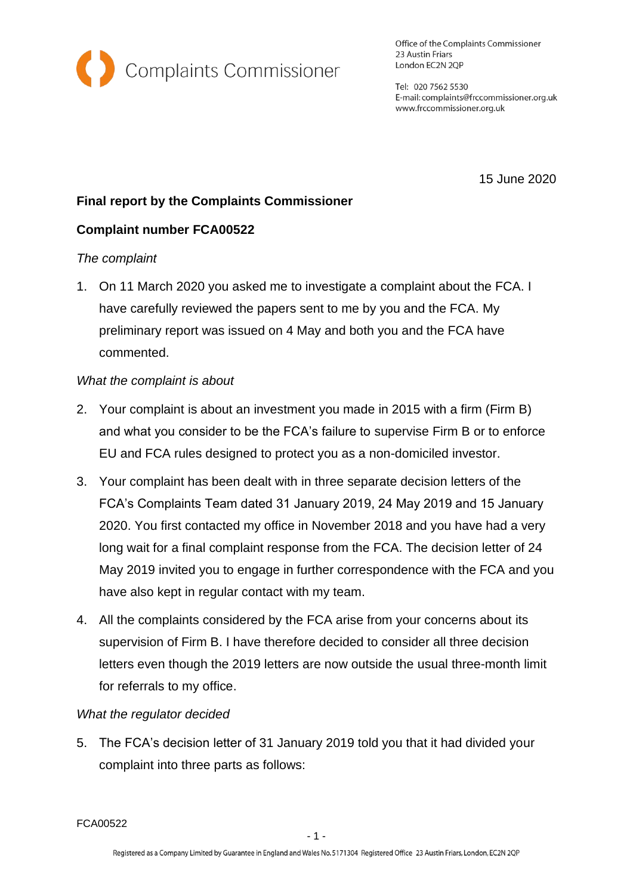

Office of the Complaints Commissioner 23 Austin Friars London EC2N 2QP

Tel: 020 7562 5530 E-mail: complaints@frccommissioner.org.uk www.frccommissioner.org.uk

15 June 2020

# **Final report by the Complaints Commissioner**

# **Complaint number FCA00522**

# *The complaint*

1. On 11 March 2020 you asked me to investigate a complaint about the FCA. I have carefully reviewed the papers sent to me by you and the FCA. My preliminary report was issued on 4 May and both you and the FCA have commented.

## *What the complaint is about*

- 2. Your complaint is about an investment you made in 2015 with a firm (Firm B) and what you consider to be the FCA's failure to supervise Firm B or to enforce EU and FCA rules designed to protect you as a non-domiciled investor.
- 3. Your complaint has been dealt with in three separate decision letters of the FCA's Complaints Team dated 31 January 2019, 24 May 2019 and 15 January 2020. You first contacted my office in November 2018 and you have had a very long wait for a final complaint response from the FCA. The decision letter of 24 May 2019 invited you to engage in further correspondence with the FCA and you have also kept in regular contact with my team.
- 4. All the complaints considered by the FCA arise from your concerns about its supervision of Firm B. I have therefore decided to consider all three decision letters even though the 2019 letters are now outside the usual three-month limit for referrals to my office.

# *What the regulator decided*

5. The FCA's decision letter of 31 January 2019 told you that it had divided your complaint into three parts as follows:

FCA00522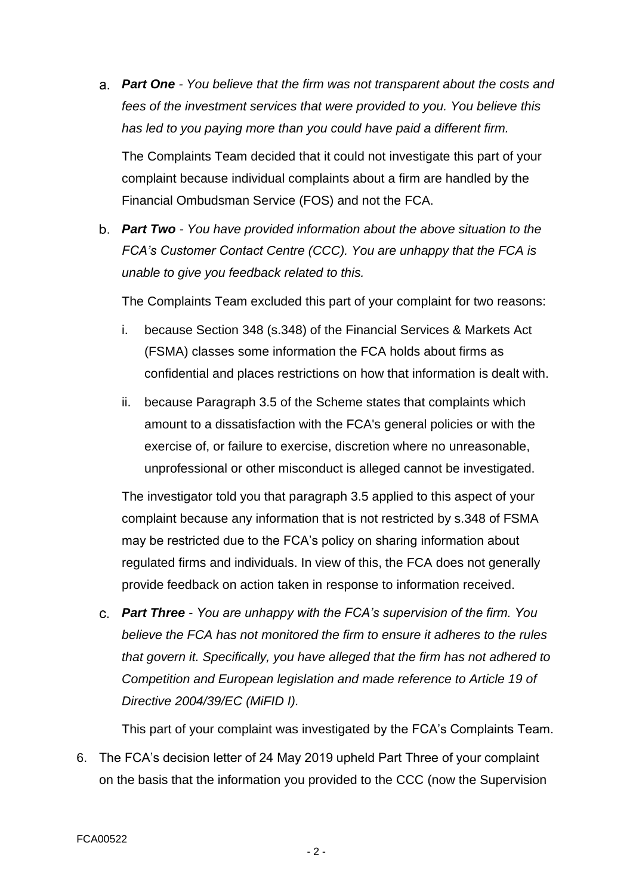*Part One - You believe that the firm was not transparent about the costs and fees of the investment services that were provided to you. You believe this has led to you paying more than you could have paid a different firm.* 

The Complaints Team decided that it could not investigate this part of your complaint because individual complaints about a firm are handled by the Financial Ombudsman Service (FOS) and not the FCA.

*Part Two - You have provided information about the above situation to the FCA's Customer Contact Centre (CCC). You are unhappy that the FCA is unable to give you feedback related to this.* 

The Complaints Team excluded this part of your complaint for two reasons:

- i. because Section 348 (s.348) of the Financial Services & Markets Act (FSMA) classes some information the FCA holds about firms as confidential and places restrictions on how that information is dealt with.
- ii. because Paragraph 3.5 of the Scheme states that complaints which amount to a dissatisfaction with the FCA's general policies or with the exercise of, or failure to exercise, discretion where no unreasonable, unprofessional or other misconduct is alleged cannot be investigated.

The investigator told you that paragraph 3.5 applied to this aspect of your complaint because any information that is not restricted by s.348 of FSMA may be restricted due to the FCA's policy on sharing information about regulated firms and individuals. In view of this, the FCA does not generally provide feedback on action taken in response to information received.

*Part Three - You are unhappy with the FCA's supervision of the firm. You believe the FCA has not monitored the firm to ensure it adheres to the rules that govern it. Specifically, you have alleged that the firm has not adhered to Competition and European legislation and made reference to Article 19 of Directive 2004/39/EC (MiFID I).*

This part of your complaint was investigated by the FCA's Complaints Team.

6. The FCA's decision letter of 24 May 2019 upheld Part Three of your complaint on the basis that the information you provided to the CCC (now the Supervision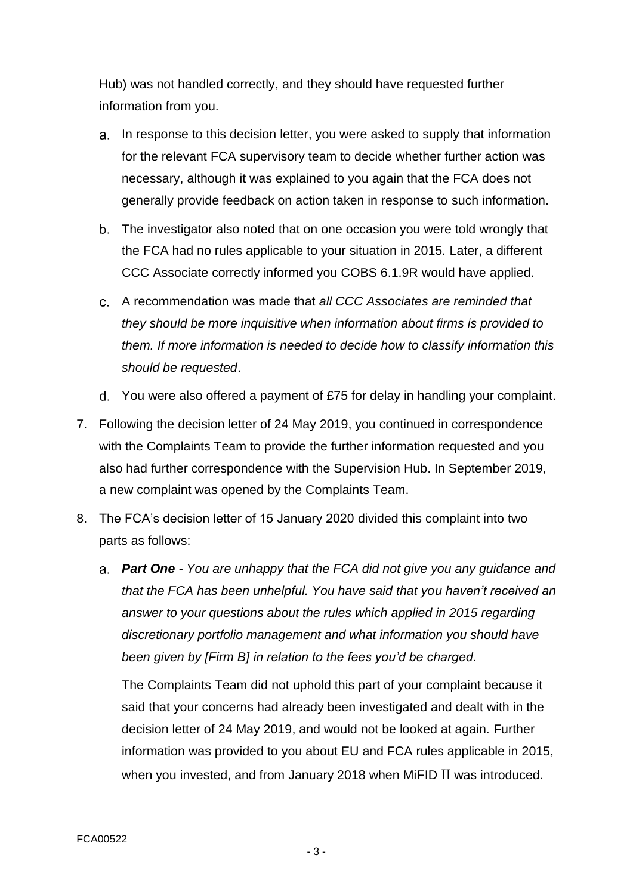Hub) was not handled correctly, and they should have requested further information from you.

- a. In response to this decision letter, you were asked to supply that information for the relevant FCA supervisory team to decide whether further action was necessary, although it was explained to you again that the FCA does not generally provide feedback on action taken in response to such information.
- The investigator also noted that on one occasion you were told wrongly that the FCA had no rules applicable to your situation in 2015. Later, a different CCC Associate correctly informed you COBS 6.1.9R would have applied.
- A recommendation was made that *all CCC Associates are reminded that they should be more inquisitive when information about firms is provided to them. If more information is needed to decide how to classify information this should be requested*.
- You were also offered a payment of £75 for delay in handling your complaint.
- 7. Following the decision letter of 24 May 2019, you continued in correspondence with the Complaints Team to provide the further information requested and you also had further correspondence with the Supervision Hub. In September 2019, a new complaint was opened by the Complaints Team.
- 8. The FCA's decision letter of 15 January 2020 divided this complaint into two parts as follows:
	- *Part One - You are unhappy that the FCA did not give you any guidance and that the FCA has been unhelpful. You have said that you haven't received an answer to your questions about the rules which applied in 2015 regarding discretionary portfolio management and what information you should have been given by [Firm B] in relation to the fees you'd be charged.*

The Complaints Team did not uphold this part of your complaint because it said that your concerns had already been investigated and dealt with in the decision letter of 24 May 2019, and would not be looked at again. Further information was provided to you about EU and FCA rules applicable in 2015, when you invested, and from January 2018 when MiFID II was introduced.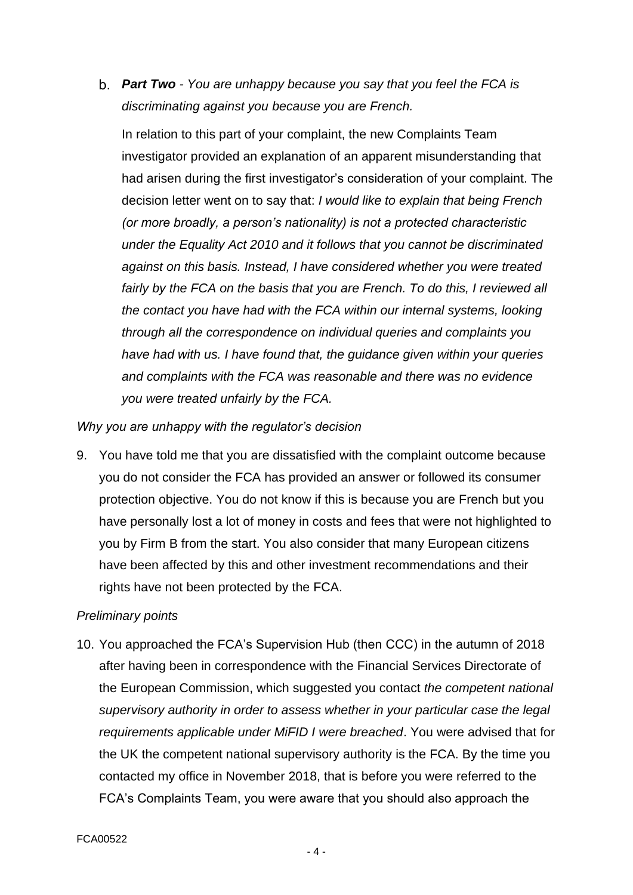*Part Two - You are unhappy because you say that you feel the FCA is discriminating against you because you are French.*

In relation to this part of your complaint, the new Complaints Team investigator provided an explanation of an apparent misunderstanding that had arisen during the first investigator's consideration of your complaint. The decision letter went on to say that: *I would like to explain that being French (or more broadly, a person's nationality) is not a protected characteristic under the Equality Act 2010 and it follows that you cannot be discriminated against on this basis. Instead, I have considered whether you were treated fairly by the FCA on the basis that you are French. To do this, I reviewed all the contact you have had with the FCA within our internal systems, looking through all the correspondence on individual queries and complaints you have had with us. I have found that, the guidance given within your queries and complaints with the FCA was reasonable and there was no evidence you were treated unfairly by the FCA.*

*Why you are unhappy with the regulator's decision*

9. You have told me that you are dissatisfied with the complaint outcome because you do not consider the FCA has provided an answer or followed its consumer protection objective. You do not know if this is because you are French but you have personally lost a lot of money in costs and fees that were not highlighted to you by Firm B from the start. You also consider that many European citizens have been affected by this and other investment recommendations and their rights have not been protected by the FCA.

## *Preliminary points*

10. You approached the FCA's Supervision Hub (then CCC) in the autumn of 2018 after having been in correspondence with the Financial Services Directorate of the European Commission, which suggested you contact *the competent national supervisory authority in order to assess whether in your particular case the legal requirements applicable under MiFID I were breached*. You were advised that for the UK the competent national supervisory authority is the FCA. By the time you contacted my office in November 2018, that is before you were referred to the FCA's Complaints Team, you were aware that you should also approach the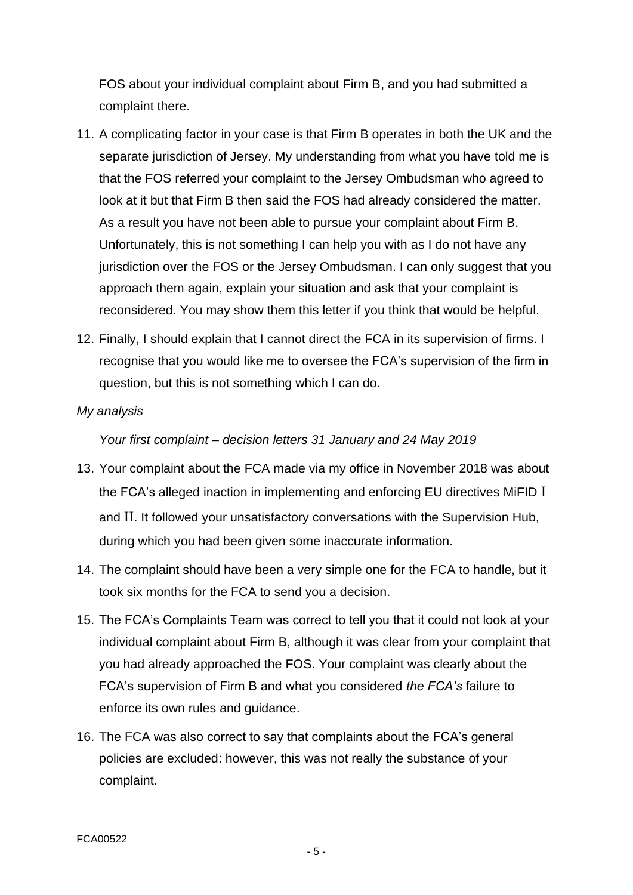FOS about your individual complaint about Firm B, and you had submitted a complaint there.

- 11. A complicating factor in your case is that Firm B operates in both the UK and the separate jurisdiction of Jersey. My understanding from what you have told me is that the FOS referred your complaint to the Jersey Ombudsman who agreed to look at it but that Firm B then said the FOS had already considered the matter. As a result you have not been able to pursue your complaint about Firm B. Unfortunately, this is not something I can help you with as I do not have any jurisdiction over the FOS or the Jersey Ombudsman. I can only suggest that you approach them again, explain your situation and ask that your complaint is reconsidered. You may show them this letter if you think that would be helpful.
- 12. Finally, I should explain that I cannot direct the FCA in its supervision of firms. I recognise that you would like me to oversee the FCA's supervision of the firm in question, but this is not something which I can do.
- *My analysis*

*Your first complaint – decision letters 31 January and 24 May 2019*

- 13. Your complaint about the FCA made via my office in November 2018 was about the FCA's alleged inaction in implementing and enforcing EU directives MiFID I and II. It followed your unsatisfactory conversations with the Supervision Hub, during which you had been given some inaccurate information.
- 14. The complaint should have been a very simple one for the FCA to handle, but it took six months for the FCA to send you a decision.
- 15. The FCA's Complaints Team was correct to tell you that it could not look at your individual complaint about Firm B, although it was clear from your complaint that you had already approached the FOS. Your complaint was clearly about the FCA's supervision of Firm B and what you considered *the FCA's* failure to enforce its own rules and guidance.
- 16. The FCA was also correct to say that complaints about the FCA's general policies are excluded: however, this was not really the substance of your complaint.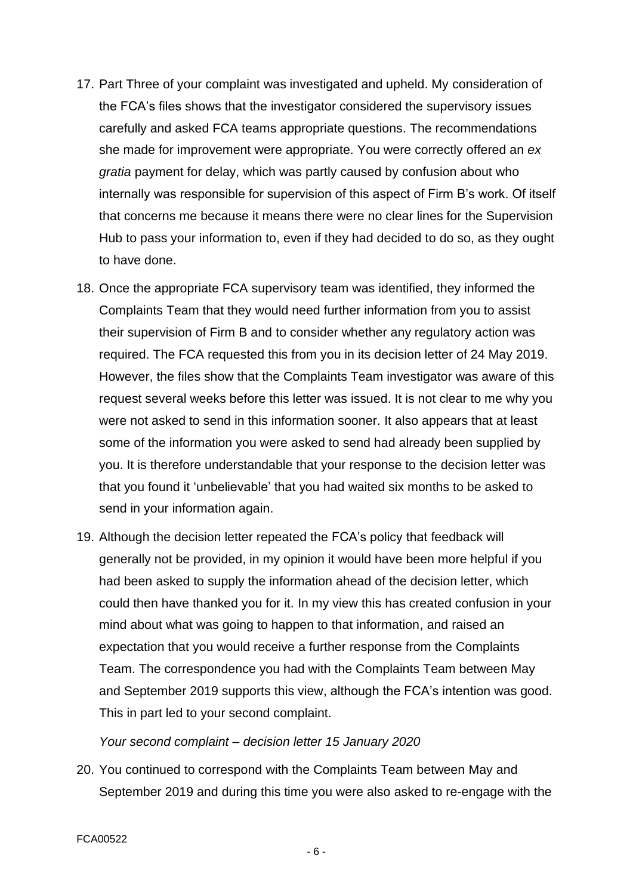- 17. Part Three of your complaint was investigated and upheld. My consideration of the FCA's files shows that the investigator considered the supervisory issues carefully and asked FCA teams appropriate questions. The recommendations she made for improvement were appropriate. You were correctly offered an *ex gratia* payment for delay, which was partly caused by confusion about who internally was responsible for supervision of this aspect of Firm B's work. Of itself that concerns me because it means there were no clear lines for the Supervision Hub to pass your information to, even if they had decided to do so, as they ought to have done.
- 18. Once the appropriate FCA supervisory team was identified, they informed the Complaints Team that they would need further information from you to assist their supervision of Firm B and to consider whether any regulatory action was required. The FCA requested this from you in its decision letter of 24 May 2019. However, the files show that the Complaints Team investigator was aware of this request several weeks before this letter was issued. It is not clear to me why you were not asked to send in this information sooner. It also appears that at least some of the information you were asked to send had already been supplied by you. It is therefore understandable that your response to the decision letter was that you found it 'unbelievable' that you had waited six months to be asked to send in your information again.
- 19. Although the decision letter repeated the FCA's policy that feedback will generally not be provided, in my opinion it would have been more helpful if you had been asked to supply the information ahead of the decision letter, which could then have thanked you for it. In my view this has created confusion in your mind about what was going to happen to that information, and raised an expectation that you would receive a further response from the Complaints Team. The correspondence you had with the Complaints Team between May and September 2019 supports this view, although the FCA's intention was good. This in part led to your second complaint.

#### *Your second complaint – decision letter 15 January 2020*

20. You continued to correspond with the Complaints Team between May and September 2019 and during this time you were also asked to re-engage with the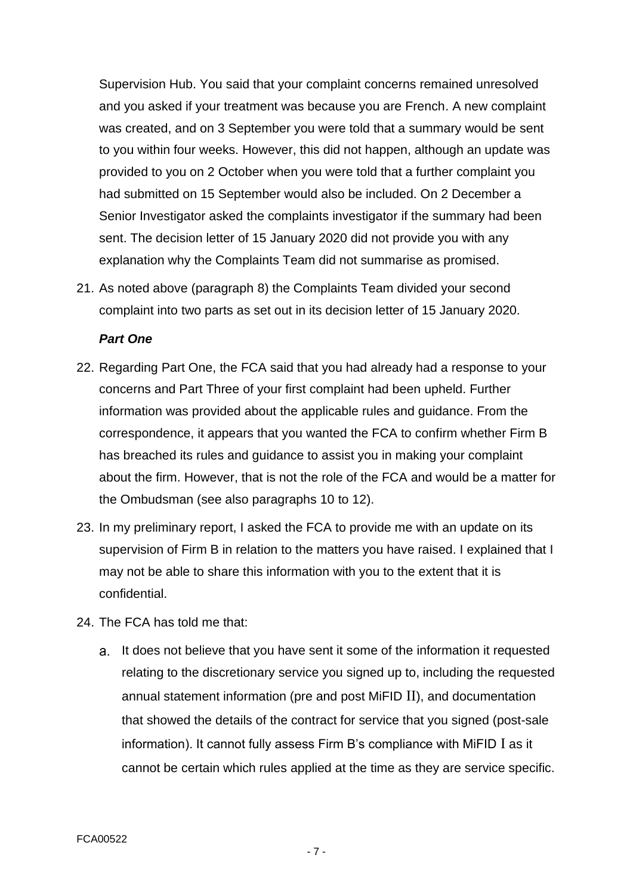Supervision Hub. You said that your complaint concerns remained unresolved and you asked if your treatment was because you are French. A new complaint was created, and on 3 September you were told that a summary would be sent to you within four weeks. However, this did not happen, although an update was provided to you on 2 October when you were told that a further complaint you had submitted on 15 September would also be included. On 2 December a Senior Investigator asked the complaints investigator if the summary had been sent. The decision letter of 15 January 2020 did not provide you with any explanation why the Complaints Team did not summarise as promised.

21. As noted above (paragraph 8) the Complaints Team divided your second complaint into two parts as set out in its decision letter of 15 January 2020.

#### *Part One*

- 22. Regarding Part One, the FCA said that you had already had a response to your concerns and Part Three of your first complaint had been upheld. Further information was provided about the applicable rules and guidance. From the correspondence, it appears that you wanted the FCA to confirm whether Firm B has breached its rules and guidance to assist you in making your complaint about the firm. However, that is not the role of the FCA and would be a matter for the Ombudsman (see also paragraphs 10 to 12).
- 23. In my preliminary report, I asked the FCA to provide me with an update on its supervision of Firm B in relation to the matters you have raised. I explained that I may not be able to share this information with you to the extent that it is confidential.
- 24. The FCA has told me that:
	- a. It does not believe that you have sent it some of the information it requested relating to the discretionary service you signed up to, including the requested annual statement information (pre and post MiFID II), and documentation that showed the details of the contract for service that you signed (post-sale information). It cannot fully assess Firm B's compliance with MiFID I as it cannot be certain which rules applied at the time as they are service specific.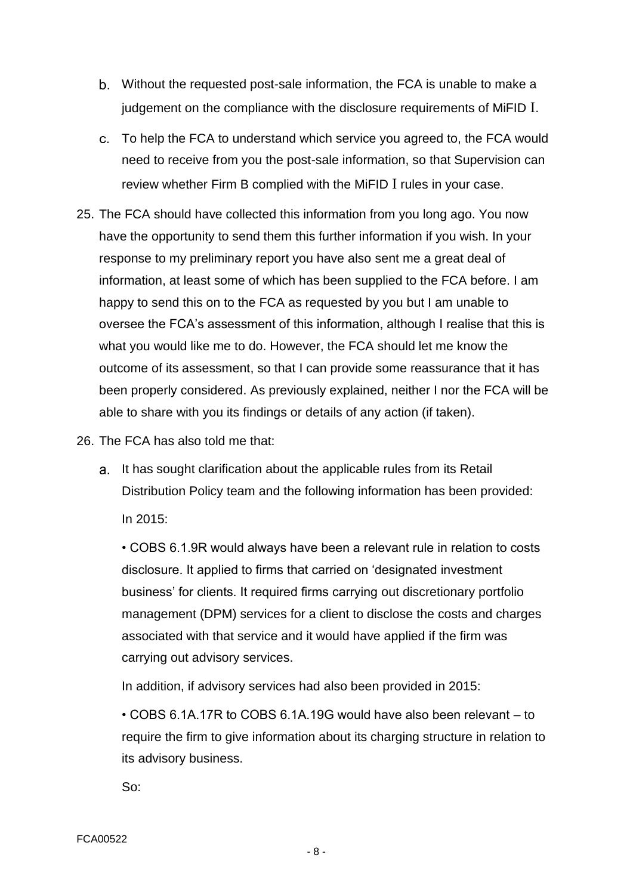- Without the requested post-sale information, the FCA is unable to make a judgement on the compliance with the disclosure requirements of MiFID I.
- To help the FCA to understand which service you agreed to, the FCA would need to receive from you the post-sale information, so that Supervision can review whether Firm B complied with the MiFID I rules in your case.
- 25. The FCA should have collected this information from you long ago. You now have the opportunity to send them this further information if you wish. In your response to my preliminary report you have also sent me a great deal of information, at least some of which has been supplied to the FCA before. I am happy to send this on to the FCA as requested by you but I am unable to oversee the FCA's assessment of this information, although I realise that this is what you would like me to do. However, the FCA should let me know the outcome of its assessment, so that I can provide some reassurance that it has been properly considered. As previously explained, neither I nor the FCA will be able to share with you its findings or details of any action (if taken).
- 26. The FCA has also told me that:
	- a. It has sought clarification about the applicable rules from its Retail Distribution Policy team and the following information has been provided: In 2015:

• COBS 6.1.9R would always have been a relevant rule in relation to costs disclosure. It applied to firms that carried on 'designated investment business' for clients. It required firms carrying out discretionary portfolio management (DPM) services for a client to disclose the costs and charges associated with that service and it would have applied if the firm was carrying out advisory services.

In addition, if advisory services had also been provided in 2015:

• COBS 6.1A.17R to COBS 6.1A.19G would have also been relevant – to require the firm to give information about its charging structure in relation to its advisory business.

So: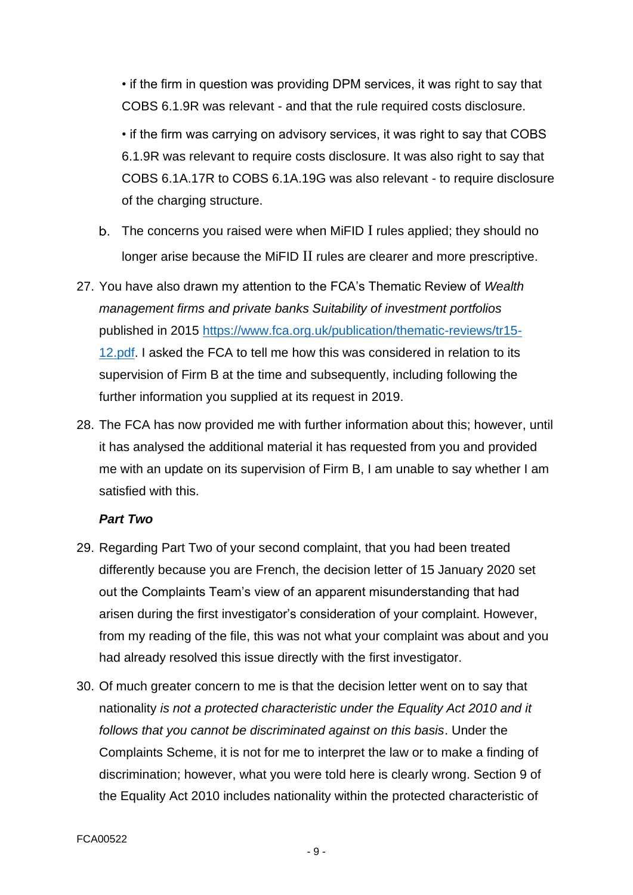• if the firm in question was providing DPM services, it was right to say that COBS 6.1.9R was relevant - and that the rule required costs disclosure.

• if the firm was carrying on advisory services, it was right to say that COBS 6.1.9R was relevant to require costs disclosure. It was also right to say that COBS 6.1A.17R to COBS 6.1A.19G was also relevant - to require disclosure of the charging structure.

- The concerns you raised were when MiFID I rules applied; they should no longer arise because the MiFID II rules are clearer and more prescriptive.
- 27. You have also drawn my attention to the FCA's Thematic Review of *Wealth management firms and private banks Suitability of investment portfolios* published in 2015 [https://www.fca.org.uk/publication/thematic-reviews/tr15-](https://www.fca.org.uk/publication/thematic-reviews/tr15-12.pdf) [12.pdf.](https://www.fca.org.uk/publication/thematic-reviews/tr15-12.pdf) I asked the FCA to tell me how this was considered in relation to its supervision of Firm B at the time and subsequently, including following the further information you supplied at its request in 2019.
- 28. The FCA has now provided me with further information about this; however, until it has analysed the additional material it has requested from you and provided me with an update on its supervision of Firm B, I am unable to say whether I am satisfied with this.

## *Part Two*

- 29. Regarding Part Two of your second complaint, that you had been treated differently because you are French, the decision letter of 15 January 2020 set out the Complaints Team's view of an apparent misunderstanding that had arisen during the first investigator's consideration of your complaint. However, from my reading of the file, this was not what your complaint was about and you had already resolved this issue directly with the first investigator.
- 30. Of much greater concern to me is that the decision letter went on to say that nationality *is not a protected characteristic under the Equality Act 2010 and it follows that you cannot be discriminated against on this basis*. Under the Complaints Scheme, it is not for me to interpret the law or to make a finding of discrimination; however, what you were told here is clearly wrong. Section 9 of the Equality Act 2010 includes nationality within the protected characteristic of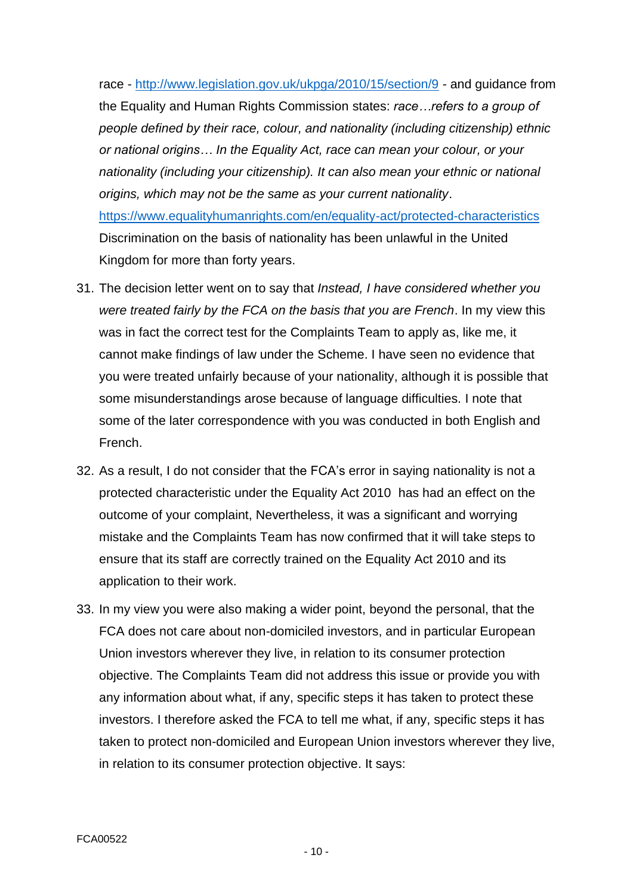race - <http://www.legislation.gov.uk/ukpga/2010/15/section/9> - and guidance from the Equality and Human Rights Commission states: *race…refers to a group of people defined by their race, colour, and nationality (including citizenship) ethnic or national origins… In the Equality Act, race can mean your colour, or your nationality (including your citizenship). It can also mean your ethnic or national origins, which may not be the same as your current nationality*. <https://www.equalityhumanrights.com/en/equality-act/protected-characteristics> Discrimination on the basis of nationality has been unlawful in the United Kingdom for more than forty years.

- 31. The decision letter went on to say that *Instead, I have considered whether you were treated fairly by the FCA on the basis that you are French*. In my view this was in fact the correct test for the Complaints Team to apply as, like me, it cannot make findings of law under the Scheme. I have seen no evidence that you were treated unfairly because of your nationality, although it is possible that some misunderstandings arose because of language difficulties. I note that some of the later correspondence with you was conducted in both English and French.
- 32. As a result, I do not consider that the FCA's error in saying nationality is not a protected characteristic under the Equality Act 2010 has had an effect on the outcome of your complaint, Nevertheless, it was a significant and worrying mistake and the Complaints Team has now confirmed that it will take steps to ensure that its staff are correctly trained on the Equality Act 2010 and its application to their work.
- 33. In my view you were also making a wider point, beyond the personal, that the FCA does not care about non-domiciled investors, and in particular European Union investors wherever they live, in relation to its consumer protection objective. The Complaints Team did not address this issue or provide you with any information about what, if any, specific steps it has taken to protect these investors. I therefore asked the FCA to tell me what, if any, specific steps it has taken to protect non-domiciled and European Union investors wherever they live, in relation to its consumer protection objective. It says: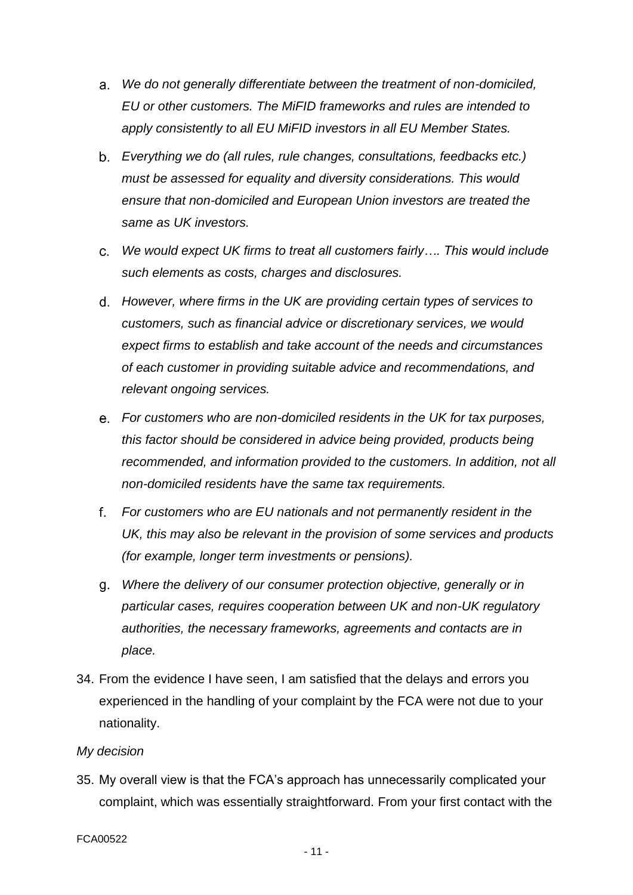- *We do not generally differentiate between the treatment of non-domiciled,*  a. *EU or other customers. The MiFID frameworks and rules are intended to apply consistently to all EU MiFID investors in all EU Member States.*
- *Everything we do (all rules, rule changes, consultations, feedbacks etc.) must be assessed for equality and diversity considerations. This would ensure that non-domiciled and European Union investors are treated the same as UK investors.*
- *We would expect UK firms to treat all customers fairly…. This would include such elements as costs, charges and disclosures.*
- *However, where firms in the UK are providing certain types of services to customers, such as financial advice or discretionary services, we would expect firms to establish and take account of the needs and circumstances of each customer in providing suitable advice and recommendations, and relevant ongoing services.*
- *For customers who are non-domiciled residents in the UK for tax purposes, this factor should be considered in advice being provided, products being recommended, and information provided to the customers. In addition, not all non-domiciled residents have the same tax requirements.*
- f. *For customers who are EU nationals and not permanently resident in the UK, this may also be relevant in the provision of some services and products (for example, longer term investments or pensions).*
- *Where the delivery of our consumer protection objective, generally or in particular cases, requires cooperation between UK and non-UK regulatory authorities, the necessary frameworks, agreements and contacts are in place.*
- 34. From the evidence I have seen, I am satisfied that the delays and errors you experienced in the handling of your complaint by the FCA were not due to your nationality.

## *My decision*

35. My overall view is that the FCA's approach has unnecessarily complicated your complaint, which was essentially straightforward. From your first contact with the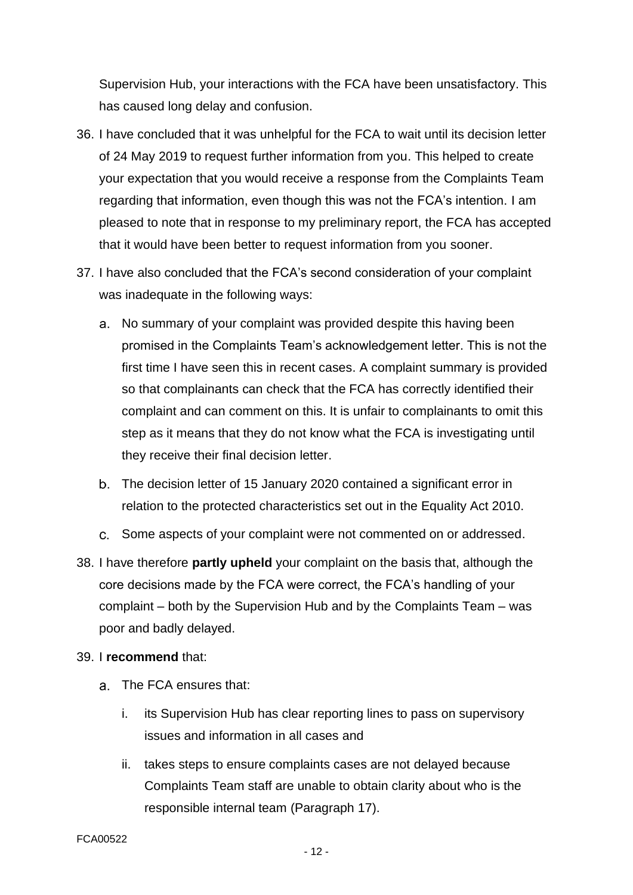Supervision Hub, your interactions with the FCA have been unsatisfactory. This has caused long delay and confusion.

- 36. I have concluded that it was unhelpful for the FCA to wait until its decision letter of 24 May 2019 to request further information from you. This helped to create your expectation that you would receive a response from the Complaints Team regarding that information, even though this was not the FCA's intention. I am pleased to note that in response to my preliminary report, the FCA has accepted that it would have been better to request information from you sooner.
- 37. I have also concluded that the FCA's second consideration of your complaint was inadequate in the following ways:
	- a. No summary of your complaint was provided despite this having been promised in the Complaints Team's acknowledgement letter. This is not the first time I have seen this in recent cases. A complaint summary is provided so that complainants can check that the FCA has correctly identified their complaint and can comment on this. It is unfair to complainants to omit this step as it means that they do not know what the FCA is investigating until they receive their final decision letter.
	- The decision letter of 15 January 2020 contained a significant error in relation to the protected characteristics set out in the Equality Act 2010.
	- Some aspects of your complaint were not commented on or addressed.
- 38. I have therefore **partly upheld** your complaint on the basis that, although the core decisions made by the FCA were correct, the FCA's handling of your complaint – both by the Supervision Hub and by the Complaints Team – was poor and badly delayed.

## 39. I **recommend** that:

- The FCA ensures that:
	- i. its Supervision Hub has clear reporting lines to pass on supervisory issues and information in all cases and
	- ii. takes steps to ensure complaints cases are not delayed because Complaints Team staff are unable to obtain clarity about who is the responsible internal team (Paragraph 17).